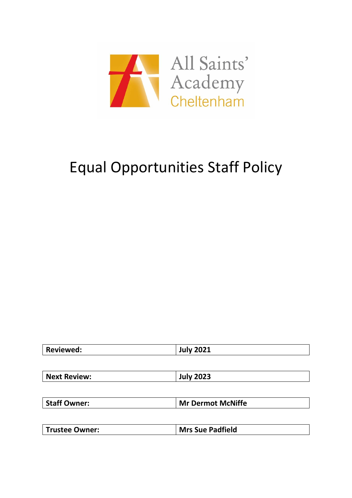

# Equal Opportunities Staff Policy

| <b>July 2021</b>         |
|--------------------------|
|                          |
| <b>July 2023</b>         |
|                          |
| <b>Mr Dermot McNiffe</b> |
|                          |

| Trustee Owner: | <b>Mrs Sue Padfield</b> |
|----------------|-------------------------|
|----------------|-------------------------|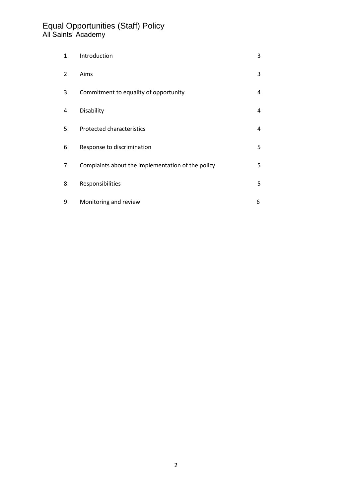| 1. | Introduction                                      | 3 |
|----|---------------------------------------------------|---|
| 2. | Aims                                              | 3 |
| 3. | Commitment to equality of opportunity             | 4 |
| 4. | Disability                                        | 4 |
| 5. | <b>Protected characteristics</b>                  | 4 |
| 6. | Response to discrimination                        | 5 |
| 7. | Complaints about the implementation of the policy | 5 |
| 8. | Responsibilities                                  | 5 |
| 9. | Monitoring and review                             | 6 |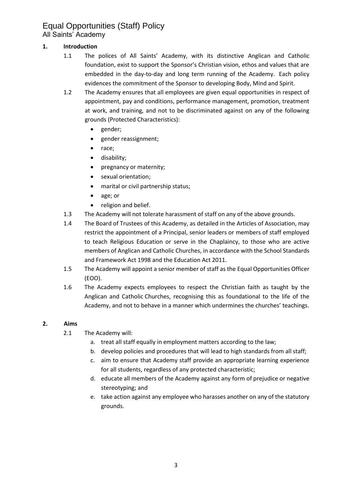#### **1. Introduction**

- 1.1 The polices of All Saints' Academy, with its distinctive Anglican and Catholic foundation, exist to support the Sponsor's Christian vision, ethos and values that are embedded in the day-to-day and long term running of the Academy. Each policy evidences the commitment of the Sponsor to developing Body, Mind and Spirit.
- 1.2 The Academy ensures that all employees are given equal opportunities in respect of appointment, pay and conditions, performance management, promotion, treatment at work, and training, and not to be discriminated against on any of the following grounds (Protected Characteristics):
	- gender;
	- gender reassignment;
	- race;
	- disability;
	- pregnancy or maternity;
	- sexual orientation;
	- marital or civil partnership status;
	- age; or
	- religion and belief.
- 1.3 The Academy will not tolerate harassment of staff on any of the above grounds.
- 1.4 The Board of Trustees of this Academy, as detailed in the Articles of Association, may restrict the appointment of a Principal, senior leaders or members of staff employed to teach Religious Education or serve in the Chaplaincy, to those who are active members of Anglican and Catholic Churches, in accordance with the School Standards and Framework Act 1998 and the Education Act 2011.
- 1.5 The Academy will appoint a senior member of staff as the Equal Opportunities Officer (EOO).
- 1.6 The Academy expects employees to respect the Christian faith as taught by the Anglican and Catholic Churches, recognising this as foundational to the life of the Academy, and not to behave in a manner which undermines the churches' teachings.

#### **2. Aims**

- 2.1 The Academy will:
	- a. treat all staff equally in employment matters according to the law;
	- b. develop policies and procedures that will lead to high standards from all staff;
	- c. aim to ensure that Academy staff provide an appropriate learning experience for all students, regardless of any protected characteristic;
	- d. educate all members of the Academy against any form of prejudice or negative stereotyping; and
	- e. take action against any employee who harasses another on any of the statutory grounds.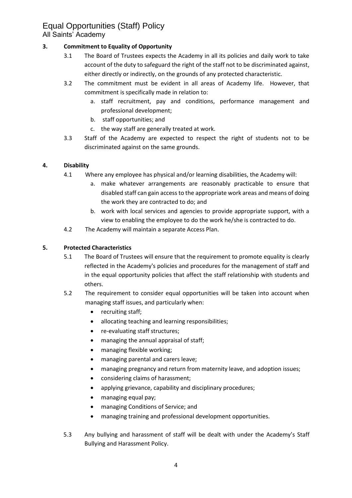#### **3. Commitment to Equality of Opportunity**

- 3.1 The Board of Trustees expects the Academy in all its policies and daily work to take account of the duty to safeguard the right of the staff not to be discriminated against, either directly or indirectly, on the grounds of any protected characteristic.
- 3.2 The commitment must be evident in all areas of Academy life. However, that commitment is specifically made in relation to:
	- a. staff recruitment, pay and conditions, performance management and professional development;
	- b. staff opportunities; and
	- c. the way staff are generally treated at work.
- 3.3 Staff of the Academy are expected to respect the right of students not to be discriminated against on the same grounds.

#### **4. Disability**

- 4.1 Where any employee has physical and/or learning disabilities, the Academy will:
	- a. make whatever arrangements are reasonably practicable to ensure that disabled staff can gain access to the appropriate work areas and means of doing the work they are contracted to do; and
	- b. work with local services and agencies to provide appropriate support, with a view to enabling the employee to do the work he/she is contracted to do.
- 4.2 The Academy will maintain a separate Access Plan.

#### **5. Protected Characteristics**

- 5.1 The Board of Trustees will ensure that the requirement to promote equality is clearly reflected in the Academy's policies and procedures for the management of staff and in the equal opportunity policies that affect the staff relationship with students and others.
- 5.2 The requirement to consider equal opportunities will be taken into account when managing staff issues, and particularly when:
	- recruiting staff;
	- allocating teaching and learning responsibilities;
	- re-evaluating staff structures;
	- managing the annual appraisal of staff;
	- managing flexible working;
	- managing parental and carers leave;
	- managing pregnancy and return from maternity leave, and adoption issues;
	- considering claims of harassment;
	- applying grievance, capability and disciplinary procedures;
	- managing equal pay;
	- managing Conditions of Service; and
	- managing training and professional development opportunities.
- 5.3 Any bullying and harassment of staff will be dealt with under the Academy's Staff Bullying and Harassment Policy.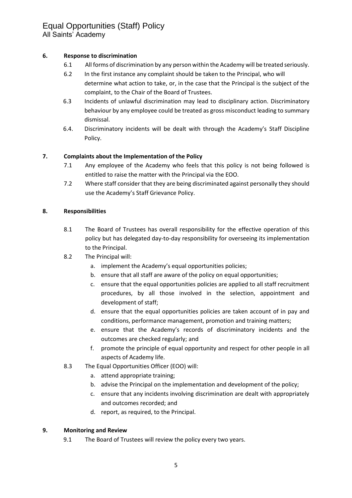#### **6. Response to discrimination**

- 6.1 All forms of discrimination by any person within the Academy will be treated seriously.
- 6.2 In the first instance any complaint should be taken to the Principal, who will determine what action to take, or, in the case that the Principal is the subject of the complaint, to the Chair of the Board of Trustees.
- 6.3 Incidents of unlawful discrimination may lead to disciplinary action. Discriminatory behaviour by any employee could be treated as gross misconduct leading to summary dismissal.
- 6.4. Discriminatory incidents will be dealt with through the Academy's Staff Discipline Policy.

#### **7. Complaints about the Implementation of the Policy**

- 7.1 Any employee of the Academy who feels that this policy is not being followed is entitled to raise the matter with the Principal via the EOO.
- 7.2 Where staff consider that they are being discriminated against personally they should use the Academy's Staff Grievance Policy.

#### **8. Responsibilities**

- 8.1 The Board of Trustees has overall responsibility for the effective operation of this policy but has delegated day-to-day responsibility for overseeing its implementation to the Principal.
- 8.2 The Principal will:
	- a. implement the Academy's equal opportunities policies;
	- b. ensure that all staff are aware of the policy on equal opportunities;
	- c. ensure that the equal opportunities policies are applied to all staff recruitment procedures, by all those involved in the selection, appointment and development of staff;
	- d. ensure that the equal opportunities policies are taken account of in pay and conditions, performance management, promotion and training matters;
	- e. ensure that the Academy's records of discriminatory incidents and the outcomes are checked regularly; and
	- f. promote the principle of equal opportunity and respect for other people in all aspects of Academy life.
- 8.3 The Equal Opportunities Officer (EOO) will:
	- a. attend appropriate training;
	- b. advise the Principal on the implementation and development of the policy;
	- c. ensure that any incidents involving discrimination are dealt with appropriately and outcomes recorded; and
	- d. report, as required, to the Principal.

#### **9. Monitoring and Review**

9.1 The Board of Trustees will review the policy every two years.